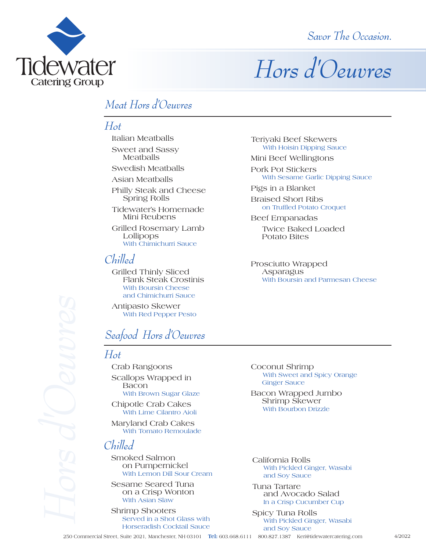**Tidewater Catering Group** 



# *Hors d'Oeuvres*

# *Meat Hors d'Oeuvres*

# *Hot*

Italian Meatballs

Sweet and Sassy Meatballs

Swedish Meatballs

Asian Meatballs

Philly Steak and Cheese Spring Rolls

Tidewater's Homemade Mini Reubens

Grilled Rosemary Lamb With Chimichurri Sauce

# *Chilled*

Grilled Thinly Sliced Flank Steak Crostinis With Boursin Cheese and Chimichurri Sauce

Antipasto Skewer<br>With Red Pepper Pesto

# *Seafood Hors d'Oeuvres*

### *Hot*

Crab Rangoons Scallops Wrapped in<br>Bacon<br>With Brown Sugar Glaze

Chipotle Crab Cakes With Lime Cilantro Aioli

Maryland Crab Cakes With Tomato Remoulade

# *Chilled*

Smoked Salmon on Pumpernickel With Lemon Dill Sour Cream

Sesame Seared Tuna on a Crisp Wonton With Asian Slaw

Shrimp Shooters<br>Served in a Shot Glass with Horseradish Cocktail Sauce

Teriyaki Beef Skewers With Hoisin Dipping Sauce

Mini Beef Wellingtons

Pork Pot Stickers<br>With Sesame Garlic Dipping Sauce

Pigs in a Blanket

Braised Short Ribs on Truffled Potato Croquet

Beef Empanadas Twice Baked Loaded Potato Bites

Prosciutto Wrapped Asparagus With Boursin and Parmesan Cheese

Coconut Shrimp With Sweet and Spicy Orange Ginger Sauce

Bacon Wrapped Jumbo Shrimp Skewer With Bourbon Drizzle

California Rolls With Pickled Ginger, Wasabi and Soy Sauce

Tuna Tartare and Avocado Salad In a Crisp Cucumber Cup

Spicy Tuna Rolls With Pickled Ginger, Wasabi and Soy Sauce

**Tel:** 603.668.6111 800.827.1387 Keri@tidewatercatering.com 4/2022

and chimicial state<br>
Antipasto Skewer<br>
With Red Pepper Pesto<br>
With Bred Pepper Pesto<br>
26*dfood Hors d'Oeuvres*<br>
2767<br>
Crab Rangoons<br>
Scallops Wrapped in<br>
Bacon<br>
With Brown Sugar Glaze<br>
Chipotle Crab Cakes<br>
With Lime Cilant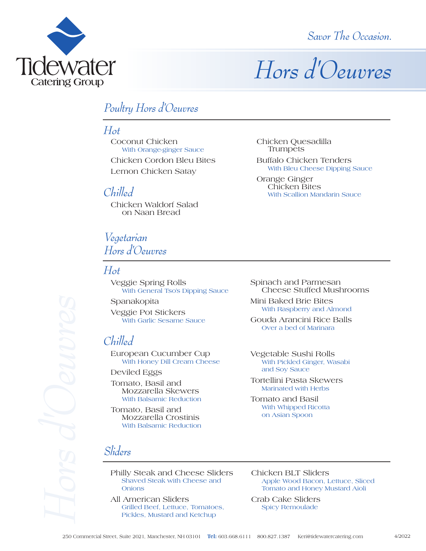

*Savor The Occasion.*

# *Hors d'Oeuvres*

# *Poultry Hors d'Oeuvres*

### *Hot*

Coconut Chicken With Orange-ginger Sauce Chicken Cordon Bleu Bites

Lemon Chicken Satay

### *Chilled*

Chicken Waldorf Salad on Naan Bread

# *Vegetarian Hors d'Oeuvres*

### *Hot*

Veggie Spring Rolls With General Tso's Dipping Sauce

Spanakopita Veggie Pot Stickers<br>With Garlic Sesame Sauce

# *Chilled*

European Cucumber Cup With Honey Dill Cream Cheese

Deviled Eggs

Tomato, Basil and Mozzarella Skewers With Balsamic Reduction

Tomato, Basil and Mozzarella Crostinis With Balsamic Reduction

*Sliders* 

Philly Steak and Cheese Sliders Shaved Steak with Cheese and Onions Spanakopita<br>
Veggie Pot Stickers<br>
With Garlic Sesame Sauce<br>
Chilled<br>
European Cucumber Cu<br>
With Honey Dill Cream Ch<br>
Deviled Eggs<br>
Tomato, Basil and<br>
Mozzarella Skewers<br>
With Balsamic Reduction<br>
Tomato, Basil and<br>
Mozzarel

All American Sliders Grilled Beef, Lettuce, Tomatoes, Pickles, Mustard and Ketchup

Chicken Quesadilla Trumpets

Buffalo Chicken Tenders With Bleu Cheese Dipping Sauce

Orange Ginger Chicken Bites With Scallion Mandarin Sauce

Spinach and Parmesan Cheese Stuffed Mushrooms

Mini Baked Brie Bites With Raspberry and Almond

Gouda Arancini Rice Balls Over a bed of Marinara

Vegetable Sushi Rolls With Pickled Ginger, Wasabi and Soy Sauce

Tortellini Pasta Skewers Marinated with Herbs

Tomato and Basil With Whipped Ricotta on Asian Spoon

Chicken BLT Sliders Apple Wood Bacon, Lettuce, Sliced Tomato and Honey Mustard Aioli

Crab Cake Sliders Spicy Remoulade